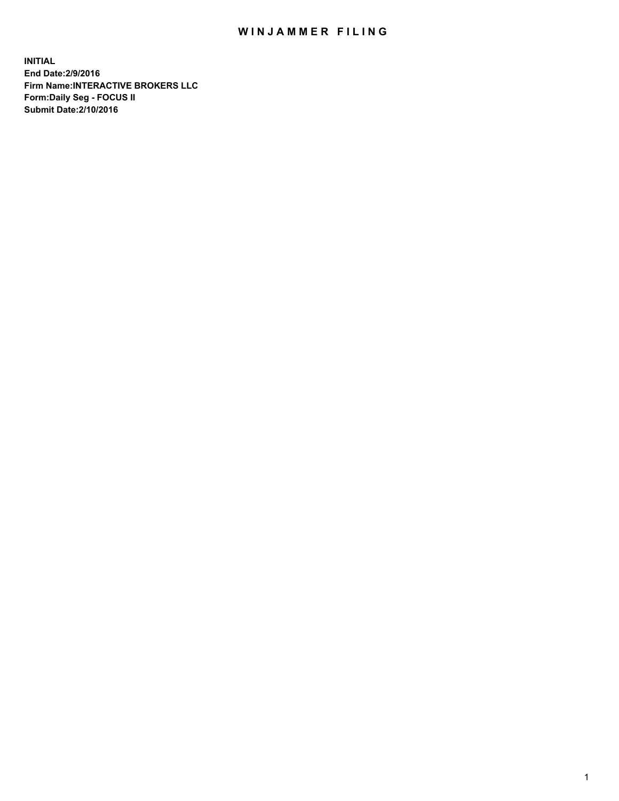## WIN JAMMER FILING

**INITIAL End Date:2/9/2016 Firm Name:INTERACTIVE BROKERS LLC Form:Daily Seg - FOCUS II Submit Date:2/10/2016**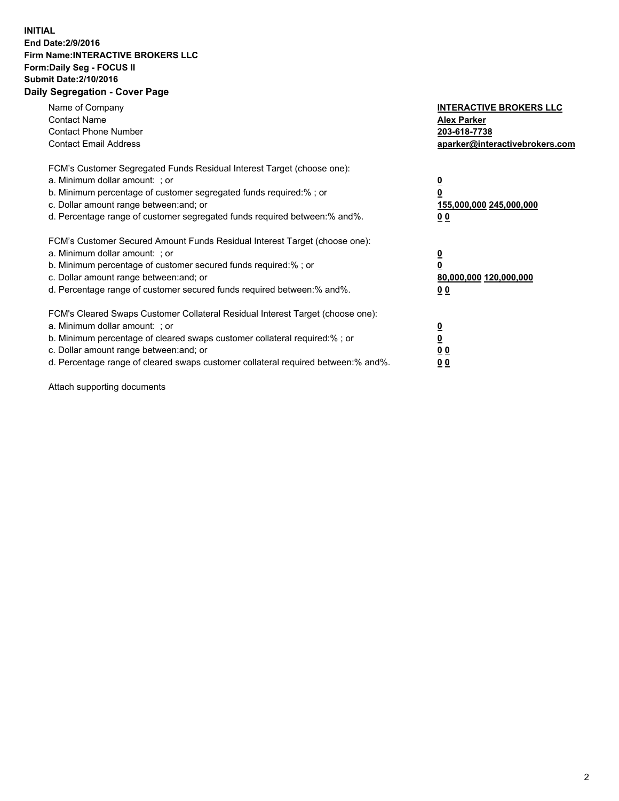## **INITIAL End Date:2/9/2016 Firm Name:INTERACTIVE BROKERS LLC Form:Daily Seg - FOCUS II Submit Date:2/10/2016 Daily Segregation - Cover Page**

| Name of Company<br><b>Contact Name</b><br><b>Contact Phone Number</b><br><b>Contact Email Address</b>                                                                                                                                                                                                                         | <b>INTERACTIVE BROKERS LLC</b><br><b>Alex Parker</b><br>203-618-7738<br>aparker@interactivebrokers.com |
|-------------------------------------------------------------------------------------------------------------------------------------------------------------------------------------------------------------------------------------------------------------------------------------------------------------------------------|--------------------------------------------------------------------------------------------------------|
| FCM's Customer Segregated Funds Residual Interest Target (choose one):<br>a. Minimum dollar amount: ; or<br>b. Minimum percentage of customer segregated funds required:% ; or<br>c. Dollar amount range between: and; or<br>d. Percentage range of customer segregated funds required between:% and%.                        | <u>0</u><br>155,000,000 245,000,000<br>0 <sub>0</sub>                                                  |
| FCM's Customer Secured Amount Funds Residual Interest Target (choose one):<br>a. Minimum dollar amount: ; or<br>b. Minimum percentage of customer secured funds required:%; or<br>c. Dollar amount range between: and; or<br>d. Percentage range of customer secured funds required between: % and %.                         | <u>0</u><br>80,000,000 120,000,000<br><u>00</u>                                                        |
| FCM's Cleared Swaps Customer Collateral Residual Interest Target (choose one):<br>a. Minimum dollar amount: ; or<br>b. Minimum percentage of cleared swaps customer collateral required:%; or<br>c. Dollar amount range between: and; or<br>d. Percentage range of cleared swaps customer collateral required between:% and%. | <u>0</u><br>0 <sub>0</sub><br>0 <sub>0</sub>                                                           |

Attach supporting documents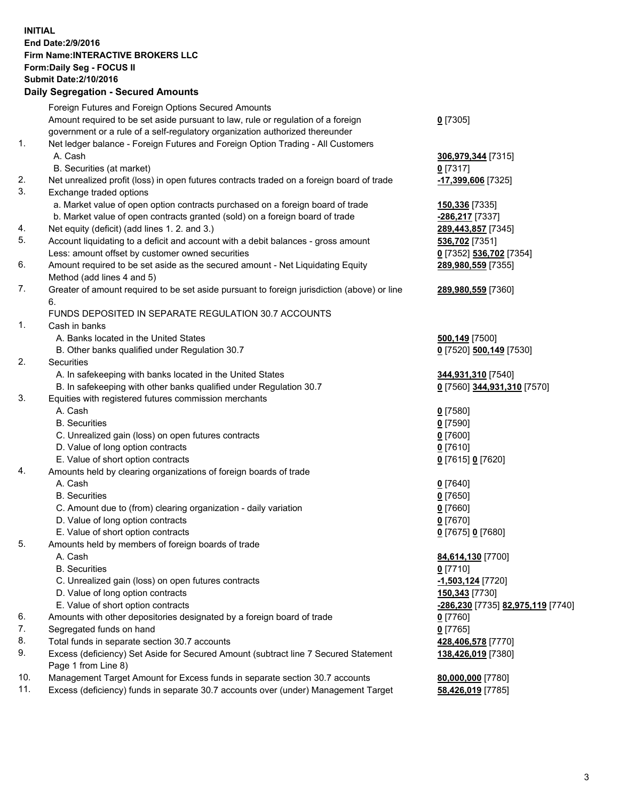## **INITIAL End Date:2/9/2016 Firm Name:INTERACTIVE BROKERS LLC Form:Daily Seg - FOCUS II Submit Date:2/10/2016 Daily Segregation - Secured Amounts**

|     | Foreign Futures and Foreign Options Secured Amounts                                                  |                                   |
|-----|------------------------------------------------------------------------------------------------------|-----------------------------------|
|     | Amount required to be set aside pursuant to law, rule or regulation of a foreign                     | $0$ [7305]                        |
|     | government or a rule of a self-regulatory organization authorized thereunder                         |                                   |
| 1.  | Net ledger balance - Foreign Futures and Foreign Option Trading - All Customers                      |                                   |
|     | A. Cash                                                                                              | 306,979,344 [7315]                |
|     | B. Securities (at market)                                                                            | $0$ [7317]                        |
| 2.  | Net unrealized profit (loss) in open futures contracts traded on a foreign board of trade            | -17,399,606 [7325]                |
| 3.  | Exchange traded options                                                                              |                                   |
|     | a. Market value of open option contracts purchased on a foreign board of trade                       | 150,336 [7335]                    |
|     | b. Market value of open contracts granted (sold) on a foreign board of trade                         | -286,217 [7337]                   |
| 4.  | Net equity (deficit) (add lines 1.2. and 3.)                                                         | 289,443,857 [7345]                |
| 5.  | Account liquidating to a deficit and account with a debit balances - gross amount                    | 536,702 [7351]                    |
|     | Less: amount offset by customer owned securities                                                     | 0 [7352] 536,702 [7354]           |
| 6.  | Amount required to be set aside as the secured amount - Net Liquidating Equity                       | 289,980,559 [7355]                |
|     | Method (add lines 4 and 5)                                                                           |                                   |
| 7.  | Greater of amount required to be set aside pursuant to foreign jurisdiction (above) or line          | 289,980,559 [7360]                |
|     | 6.                                                                                                   |                                   |
|     | FUNDS DEPOSITED IN SEPARATE REGULATION 30.7 ACCOUNTS                                                 |                                   |
| 1.  | Cash in banks                                                                                        |                                   |
|     | A. Banks located in the United States                                                                | 500,149 [7500]                    |
|     | B. Other banks qualified under Regulation 30.7                                                       | 0 [7520] 500,149 [7530]           |
| 2.  | Securities                                                                                           |                                   |
|     | A. In safekeeping with banks located in the United States                                            | 344,931,310 [7540]                |
|     | B. In safekeeping with other banks qualified under Regulation 30.7                                   | 0 [7560] 344,931,310 [7570]       |
| 3.  | Equities with registered futures commission merchants                                                |                                   |
|     | A. Cash                                                                                              | $0$ [7580]                        |
|     | <b>B.</b> Securities                                                                                 | $0$ [7590]                        |
|     | C. Unrealized gain (loss) on open futures contracts                                                  | $0$ [7600]                        |
|     | D. Value of long option contracts                                                                    | $0$ [7610]                        |
|     | E. Value of short option contracts                                                                   | 0 [7615] 0 [7620]                 |
| 4.  | Amounts held by clearing organizations of foreign boards of trade                                    |                                   |
|     | A. Cash<br><b>B.</b> Securities                                                                      | $0$ [7640]                        |
|     |                                                                                                      | $0$ [7650]<br>$0$ [7660]          |
|     | C. Amount due to (from) clearing organization - daily variation<br>D. Value of long option contracts | $0$ [7670]                        |
|     | E. Value of short option contracts                                                                   | 0 [7675] 0 [7680]                 |
| 5.  | Amounts held by members of foreign boards of trade                                                   |                                   |
|     | A. Cash                                                                                              | 84,614,130 [7700]                 |
|     | <b>B.</b> Securities                                                                                 | $0$ [7710]                        |
|     | C. Unrealized gain (loss) on open futures contracts                                                  | -1,503,124 [7720]                 |
|     | D. Value of long option contracts                                                                    | 150,343 [7730]                    |
|     | E. Value of short option contracts                                                                   | -286,230 [7735] 82,975,119 [7740] |
| 6.  | Amounts with other depositories designated by a foreign board of trade                               | $0$ [7760]                        |
| 7.  | Segregated funds on hand                                                                             | $0$ [7765]                        |
| 8.  | Total funds in separate section 30.7 accounts                                                        | 428,406,578 [7770]                |
| 9.  | Excess (deficiency) Set Aside for Secured Amount (subtract line 7 Secured Statement                  | 138,426,019 [7380]                |
|     | Page 1 from Line 8)                                                                                  |                                   |
| 10. | Management Target Amount for Excess funds in separate section 30.7 accounts                          | 80,000,000 [7780]                 |
| 11. | Excess (deficiency) funds in separate 30.7 accounts over (under) Management Target                   | 58,426,019 [7785]                 |
|     |                                                                                                      |                                   |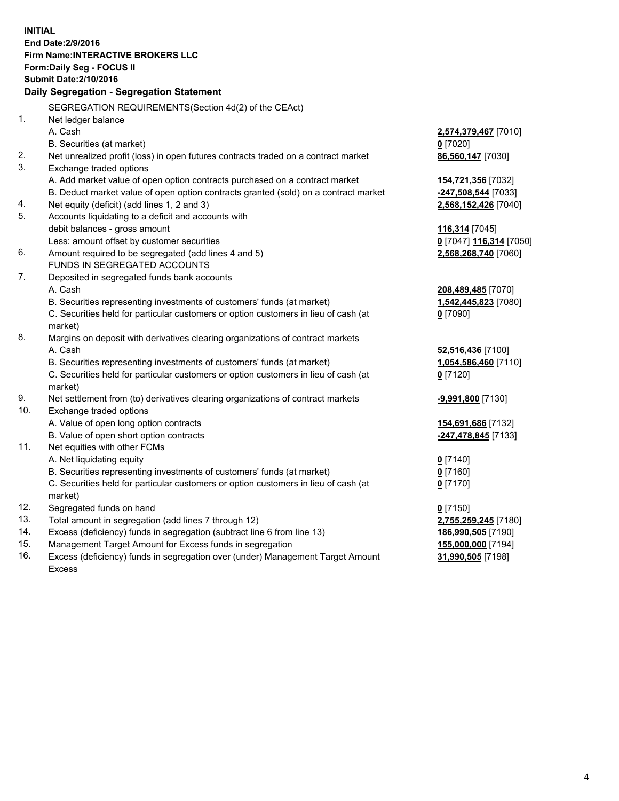**INITIAL End Date:2/9/2016 Firm Name:INTERACTIVE BROKERS LLC Form:Daily Seg - FOCUS II Submit Date:2/10/2016 Daily Segregation - Segregation Statement** SEGREGATION REQUIREMENTS(Section 4d(2) of the CEAct) 1. Net ledger balance A. Cash **2,574,379,467** [7010] B. Securities (at market) **0** [7020] 2. Net unrealized profit (loss) in open futures contracts traded on a contract market **86,560,147** [7030] 3. Exchange traded options A. Add market value of open option contracts purchased on a contract market **154,721,356** [7032] B. Deduct market value of open option contracts granted (sold) on a contract market **-247,508,544** [7033] 4. Net equity (deficit) (add lines 1, 2 and 3) **2,568,152,426** [7040] 5. Accounts liquidating to a deficit and accounts with debit balances - gross amount **116,314** [7045] Less: amount offset by customer securities **0** [7047] **116,314** [7050] 6. Amount required to be segregated (add lines 4 and 5) **2,568,268,740** [7060] FUNDS IN SEGREGATED ACCOUNTS 7. Deposited in segregated funds bank accounts A. Cash **208,489,485** [7070] B. Securities representing investments of customers' funds (at market) **1,542,445,823** [7080] C. Securities held for particular customers or option customers in lieu of cash (at market) **0** [7090] 8. Margins on deposit with derivatives clearing organizations of contract markets A. Cash **52,516,436** [7100] B. Securities representing investments of customers' funds (at market) **1,054,586,460** [7110] C. Securities held for particular customers or option customers in lieu of cash (at market) **0** [7120] 9. Net settlement from (to) derivatives clearing organizations of contract markets **-9,991,800** [7130] 10. Exchange traded options A. Value of open long option contracts **154,691,686** [7132] B. Value of open short option contracts **-247,478,845** [7133] 11. Net equities with other FCMs A. Net liquidating equity **0** [7140] B. Securities representing investments of customers' funds (at market) **0** [7160] C. Securities held for particular customers or option customers in lieu of cash (at market) **0** [7170] 12. Segregated funds on hand **0** [7150] 13. Total amount in segregation (add lines 7 through 12) **2,755,259,245** [7180] 14. Excess (deficiency) funds in segregation (subtract line 6 from line 13) **186,990,505** [7190] 15. Management Target Amount for Excess funds in segregation **155,000,000** [7194]

16. Excess (deficiency) funds in segregation over (under) Management Target Amount Excess

**31,990,505** [7198]